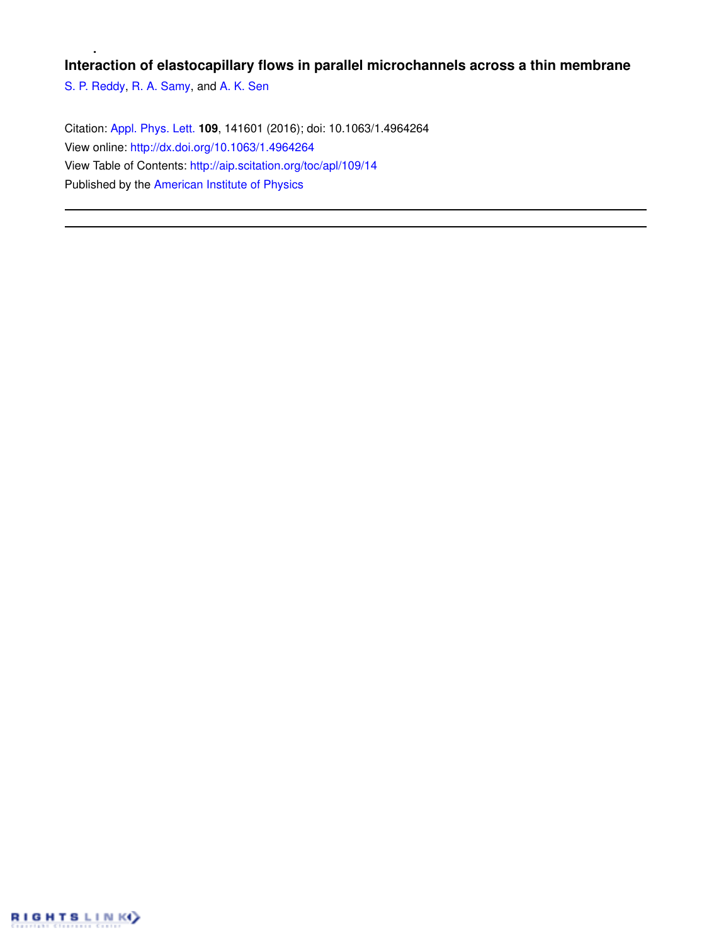## **Interaction of elastocapillary flows in parallel microchannels across a thin membrane**

S. P. Reddy, R. A. Samy, and A. K. Sen

Citation: Appl. Phys. Lett. **109**, 141601 (2016); doi: 10.1063/1.4964264 View online: http://dx.doi.org/10.1063/1.4964264 View Table of Contents: http://aip.scitation.org/toc/apl/109/14 Published by the American Institute of Physics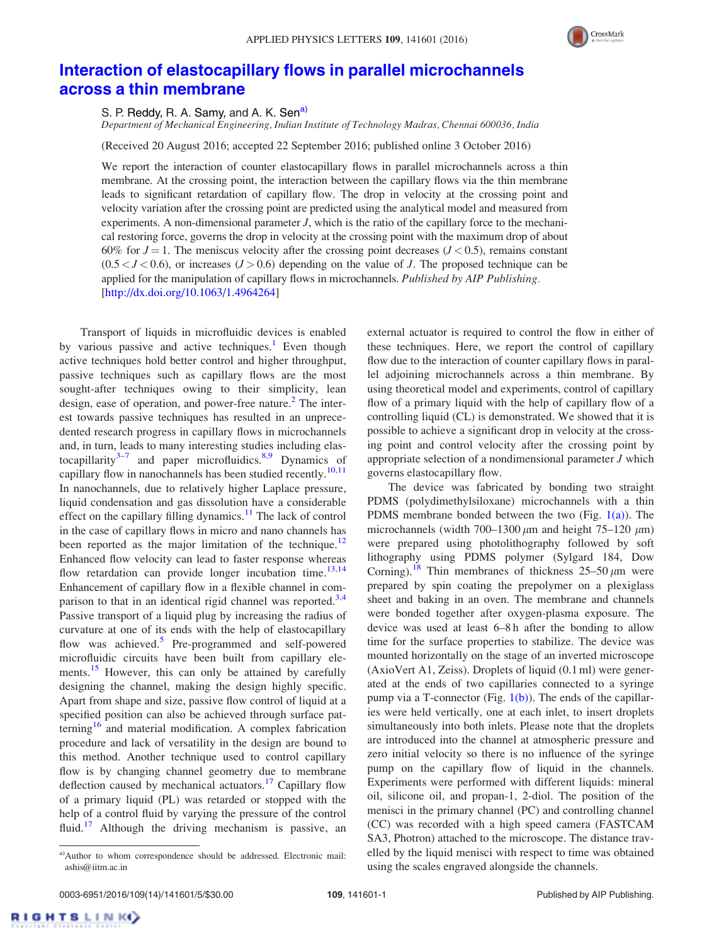

## Interaction of elastocapillary flows in parallel microchannels across a thin membrane

S. P. Reddy, R. A. Samy, and A. K. Sen<sup>a)</sup>

Department of Mechanical Engineering, Indian Institute of Technology Madras, Chennai 600036, India

(Received 20 August 2016; accepted 22 September 2016; published online 3 October 2016)

We report the interaction of counter elastocapillary flows in parallel microchannels across a thin membrane. At the crossing point, the interaction between the capillary flows via the thin membrane leads to significant retardation of capillary flow. The drop in velocity at the crossing point and velocity variation after the crossing point are predicted using the analytical model and measured from experiments. A non-dimensional parameter  $J$ , which is the ratio of the capillary force to the mechanical restoring force, governs the drop in velocity at the crossing point with the maximum drop of about 60% for  $J=1$ . The meniscus velocity after the crossing point decreases ( $J < 0.5$ ), remains constant  $(0.5 < J < 0.6)$ , or increases  $(J > 0.6)$  depending on the value of J. The proposed technique can be applied for the manipulation of capillary flows in microchannels. Published by AIP Publishing. [http://dx.doi.org/10.1063/1.4964264]

Transport of liquids in microfluidic devices is enabled by various passive and active techniques.<sup>1</sup> Even though active techniques hold better control and higher throughput, passive techniques such as capillary flows are the most sought-after techniques owing to their simplicity, lean design, ease of operation, and power-free nature.<sup>2</sup> The interest towards passive techniques has resulted in an unprecedented research progress in capillary flows in microchannels and, in turn, leads to many interesting studies including elastocapillarity $3-7$  and paper microfluidics.  $8,9$  Dynamics of capillary flow in nanochannels has been studied recently.<sup>10,11</sup> In nanochannels, due to relatively higher Laplace pressure, liquid condensation and gas dissolution have a considerable effect on the capillary filling dynamics.<sup>11</sup> The lack of control in the case of capillary flows in micro and nano channels has been reported as the major limitation of the technique.<sup>12</sup> Enhanced flow velocity can lead to faster response whereas flow retardation can provide longer incubation time.<sup>13,14</sup> Enhancement of capillary flow in a flexible channel in comparison to that in an identical rigid channel was reported.<sup>3,4</sup> Passive transport of a liquid plug by increasing the radius of curvature at one of its ends with the help of elastocapillary flow was achieved.<sup>5</sup> Pre-programmed and self-powered microfluidic circuits have been built from capillary elements.<sup>15</sup> However, this can only be attained by carefully designing the channel, making the design highly specific. Apart from shape and size, passive flow control of liquid at a specified position can also be achieved through surface patterning<sup>16</sup> and material modification. A complex fabrication procedure and lack of versatility in the design are bound to this method. Another technique used to control capillary flow is by changing channel geometry due to membrane deflection caused by mechanical actuators.<sup>17</sup> Capillary flow of a primary liquid (PL) was retarded or stopped with the help of a control fluid by varying the pressure of the control fluid.<sup>17</sup> Although the driving mechanism is passive, an

external actuator is required to control the flow in either of these techniques. Here, we report the control of capillary flow due to the interaction of counter capillary flows in parallel adjoining microchannels across a thin membrane. By using theoretical model and experiments, control of capillary flow of a primary liquid with the help of capillary flow of a controlling liquid (CL) is demonstrated. We showed that it is possible to achieve a significant drop in velocity at the crossing point and control velocity after the crossing point by appropriate selection of a nondimensional parameter J which governs elastocapillary flow.

The device was fabricated by bonding two straight PDMS (polydimethylsiloxane) microchannels with a thin PDMS membrane bonded between the two  $(Fig, 1(a))$ . The microchannels (width 700–1300  $\mu$ m and height 75–120  $\mu$ m) were prepared using photolithography followed by soft lithography using PDMS polymer (Sylgard 184, Dow Corning).<sup>18</sup> Thin membranes of thickness  $25-50 \mu m$  were prepared by spin coating the prepolymer on a plexiglass sheet and baking in an oven. The membrane and channels were bonded together after oxygen-plasma exposure. The device was used at least 6–8 h after the bonding to allow time for the surface properties to stabilize. The device was mounted horizontally on the stage of an inverted microscope (AxioVert A1, Zeiss). Droplets of liquid (0.1 ml) were generated at the ends of two capillaries connected to a syringe pump via a T-connector (Fig.  $1(b)$ ). The ends of the capillaries were held vertically, one at each inlet, to insert droplets simultaneously into both inlets. Please note that the droplets are introduced into the channel at atmospheric pressure and zero initial velocity so there is no influence of the syringe pump on the capillary flow of liquid in the channels. Experiments were performed with different liquids: mineral oil, silicone oil, and propan-1, 2-diol. The position of the menisci in the primary channel (PC) and controlling channel (CC) was recorded with a high speed camera (FASTCAM SA3, Photron) attached to the microscope. The distance travelled by the liquid menisci with respect to time was obtained using the scales engraved alongside the channels.

**RIGHTSLINK** 

a)Author to whom correspondence should be addressed. Electronic mail: ashis@iitm.ac.in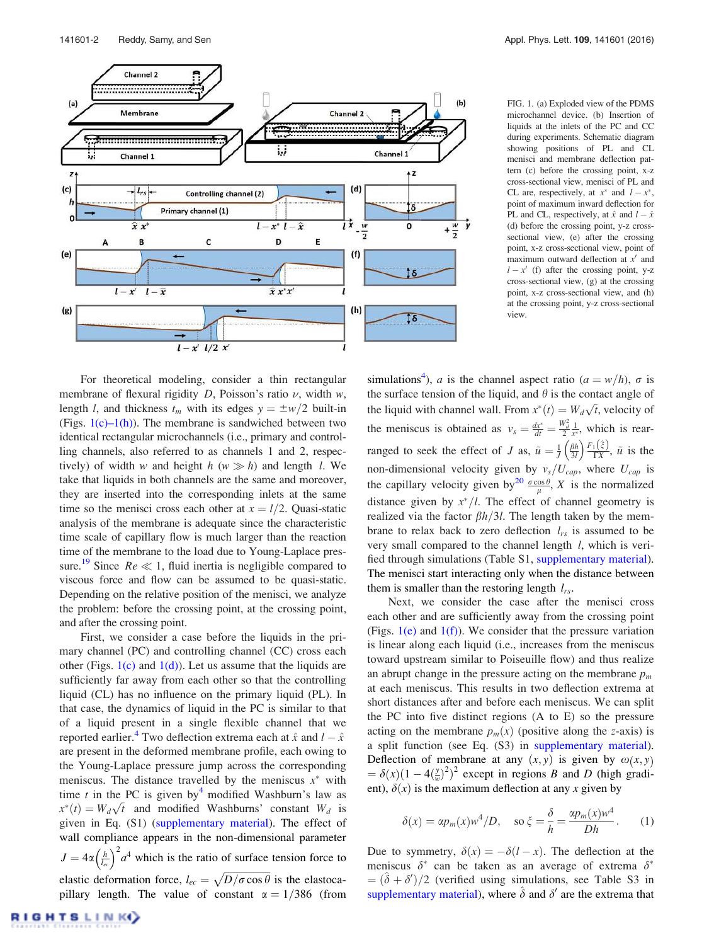

FIG. 1. (a) Exploded view of the PDMS microchannel device. (b) Insertion of liquids at the inlets of the PC and CC during experiments. Schematic diagram showing positions of PL and CL menisci and membrane deflection pattern (c) before the crossing point, x-z cross-sectional view, menisci of PL and CL are, respectively, at  $x^*$  and  $l - x^*$ , point of maximum inward deflection for PL and CL, respectively, at  $\hat{x}$  and  $l - \hat{x}$ (d) before the crossing point, y-z crosssectional view, (e) after the crossing point, x-z cross-sectional view, point of maximum outward deflection at  $x'$  and  $l - x'$  (f) after the crossing point, y-z cross-sectional view, (g) at the crossing point, x-z cross-sectional view, and (h) at the crossing point, y-z cross-sectional view.

For theoretical modeling, consider a thin rectangular membrane of flexural rigidity D, Poisson's ratio  $\nu$ , width  $w$ , length *l*, and thickness  $t_m$  with its edges  $y = \pm w/2$  built-in (Figs.  $1(c)-1(h)$ ). The membrane is sandwiched between two identical rectangular microchannels (i.e., primary and controlling channels, also referred to as channels 1 and 2, respectively) of width w and height  $h(w \gg h)$  and length l. We take that liquids in both channels are the same and moreover, they are inserted into the corresponding inlets at the same time so the menisci cross each other at  $x = l/2$ . Quasi-static analysis of the membrane is adequate since the characteristic time scale of capillary flow is much larger than the reaction time of the membrane to the load due to Young-Laplace pressure.<sup>19</sup> Since  $Re \ll 1$ , fluid inertia is negligible compared to viscous force and flow can be assumed to be quasi-static. Depending on the relative position of the menisci, we analyze the problem: before the crossing point, at the crossing point, and after the crossing point.

First, we consider a case before the liquids in the primary channel (PC) and controlling channel (CC) cross each other (Figs.  $1(c)$  and  $1(d)$ ). Let us assume that the liquids are sufficiently far away from each other so that the controlling liquid (CL) has no influence on the primary liquid (PL). In that case, the dynamics of liquid in the PC is similar to that of a liquid present in a single flexible channel that we reported earlier.<sup>4</sup> Two deflection extrema each at  $\hat{x}$  and  $l - \hat{x}$ are present in the deformed membrane profile, each owing to the Young-Laplace pressure jump across the corresponding meniscus. The distance travelled by the meniscus  $x^*$  with time t in the PC is given by <sup>4</sup> modified Washburn's law as  $x^*(t) = W_d \sqrt{t}$  and modified Washburns' constant  $W_d$  is given in Eq. (S1) (supplementary material). The effect of wall compliance appears in the non-dimensional parameter  $J = 4\alpha \left(\frac{h}{l_{ee}}\right)^2 a^4$  which is the ratio of surface tension force to elastic deformation force,  $l_{ec} = \sqrt{D/\sigma \cos \theta}$  is the elastocapillary length. The value of constant  $\alpha = 1/386$  (from

simulations<sup>4</sup>), *a* is the channel aspect ratio ( $a = w/h$ ),  $\sigma$  is the surface tension of the liquid, and  $\theta$  is the contact angle of the liquid with channel wall. From  $x^*(t) = W_d \sqrt{t}$ , velocity of the meniscus is obtained as  $v_s = \frac{dx^*}{dt} = \frac{W_d^2}{2x^*}$ , which is rearranged to seek the effect of J as,  $\tilde{u} = \frac{1}{J} \left( \frac{\beta h}{3J} \right) \frac{F_1(\hat{z})}{\Gamma X}$ ,  $\tilde{u}$  is the non-dimensional velocity given by  $v_s/U_{cap}$ , where  $U_{cap}$  is the capillary velocity given by<sup>20</sup>  $\frac{\sigma \cos \theta}{\mu}$ , X is the normalized distance given by  $x^*/l$ . The effect of channel geometry is realized via the factor  $\beta h/3l$ . The length taken by the membrane to relax back to zero deflection  $l_{rs}$  is assumed to be very small compared to the channel length  $l$ , which is verified through simulations (Table S1, supplementary material). The menisci start interacting only when the distance between them is smaller than the restoring length  $l_{rs}$ .

Next, we consider the case after the menisci cross each other and are sufficiently away from the crossing point (Figs.  $1(e)$  and  $1(f)$ ). We consider that the pressure variation is linear along each liquid (i.e., increases from the meniscus toward upstream similar to Poiseuille flow) and thus realize an abrupt change in the pressure acting on the membrane  $p_m$ at each meniscus. This results in two deflection extrema at short distances after and before each meniscus. We can split the PC into five distinct regions (A to E) so the pressure acting on the membrane  $p_m(x)$  (positive along the z-axis) is a split function (see Eq. (S3) in supplementary material). Deflection of membrane at any  $(x, y)$  is given by  $\omega(x, y)$  $= \delta(x)(1 - 4\left(\frac{y}{w}\right)^2)^2$  except in regions B and D (high gradient),  $\delta(x)$  is the maximum deflection at any x given by

$$
\delta(x) = \alpha p_m(x) w^4 / D, \quad \text{so } \xi = \frac{\delta}{h} = \frac{\alpha p_m(x) w^4}{Dh}. \tag{1}
$$

Due to symmetry,  $\delta(x) = -\delta(l - x)$ . The deflection at the meniscus  $\delta^*$  can be taken as an average of extrema  $\delta^*$  $= (\hat{\delta} + \delta')/2$  (verified using simulations, see Table S3 in supplementary material), where  $\hat{\delta}$  and  $\delta'$  are the extrema that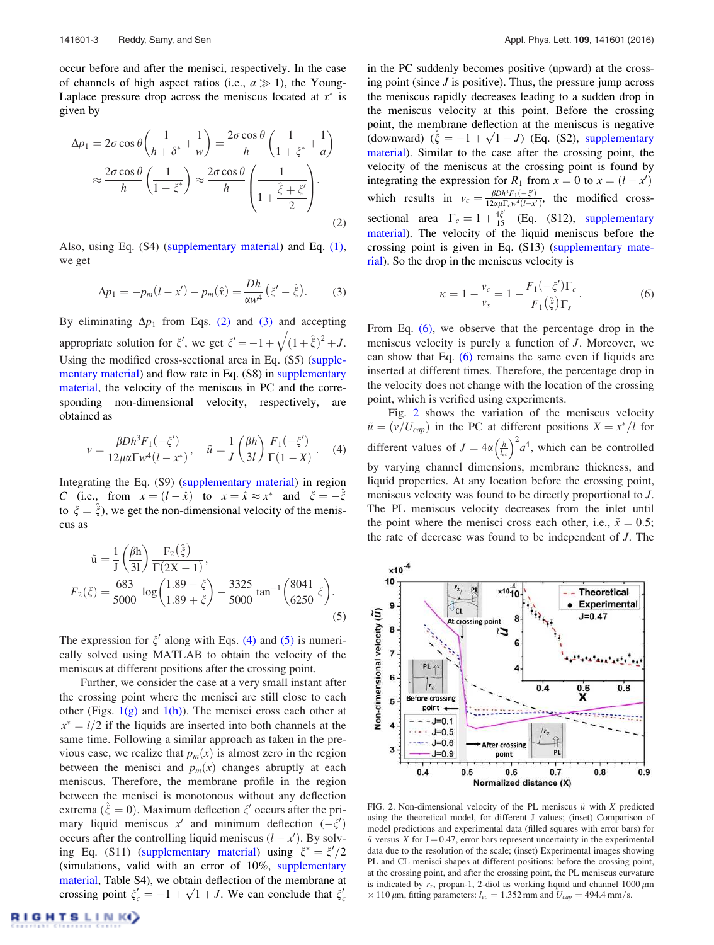occur before and after the menisci, respectively. In the case of channels of high aspect ratios (i.e.,  $a \gg 1$ ), the Young-Laplace pressure drop across the meniscus located at  $x^*$  is given by

$$
\Delta p_1 = 2\sigma \cos \theta \left( \frac{1}{h + \delta^*} + \frac{1}{w} \right) = \frac{2\sigma \cos \theta}{h} \left( \frac{1}{1 + \xi^*} + \frac{1}{a} \right)
$$

$$
\approx \frac{2\sigma \cos \theta}{h} \left( \frac{1}{1 + \xi^*} \right) \approx \frac{2\sigma \cos \theta}{h} \left( \frac{1}{1 + \frac{\hat{\xi} + \xi'}{2}} \right).
$$
(2)

Also, using Eq. (S4) (supplementary material) and Eq. (1), we get

$$
\Delta p_1 = -p_m(l - x') - p_m(\hat{x}) = \frac{Dh}{\alpha w^4} (\xi' - \hat{\xi}). \tag{3}
$$

By eliminating  $\Delta p_1$  from Eqs. (2) and (3) and accepting appropriate solution for  $\xi'$ , we get  $\xi' = -1 + \sqrt{(1 + \hat{\xi})^2 + J}$ . Using the modified cross-sectional area in Eq. (S5) (supplementary material) and flow rate in Eq. (S8) in supplementary material, the velocity of the meniscus in PC and the corresponding non-dimensional velocity, respectively, are obtained as

$$
v = \frac{\beta D h^3 F_1(-\xi')}{12\mu \alpha \Gamma w^4 (l - x^*)}, \quad \tilde{u} = \frac{1}{J} \left(\frac{\beta h}{3l}\right) \frac{F_1(-\xi')}{\Gamma(1 - X)}.
$$
 (4)

Integrating the Eq. (S9) (supplementary material) in region C (i.e., from  $x = (l - \hat{x})$  to  $x = \hat{x} \approx x^*$  and  $\xi = -\hat{\xi}$ to  $\zeta = \hat{\zeta}$ , we get the non-dimensional velocity of the meniscus as

$$
\tilde{u} = \frac{1}{J} \left( \frac{\beta h}{3I} \right) \frac{F_2(\hat{\xi})}{\Gamma(2X - 1)},
$$
  
\n
$$
F_2(\xi) = \frac{683}{5000} \log \left( \frac{1.89 - \xi}{1.89 + \xi} \right) - \frac{3325}{5000} \tan^{-1} \left( \frac{8041}{6250} \xi \right).
$$
\n(5)

The expression for  $\xi'$  along with Eqs. (4) and (5) is numerically solved using MATLAB to obtain the velocity of the meniscus at different positions after the crossing point.

Further, we consider the case at a very small instant after the crossing point where the menisci are still close to each other (Figs.  $1(g)$  and  $1(h)$ ). The menisci cross each other at  $x^* = l/2$  if the liquids are inserted into both channels at the same time. Following a similar approach as taken in the previous case, we realize that  $p_m(x)$  is almost zero in the region between the menisci and  $p_m(x)$  changes abruptly at each meniscus. Therefore, the membrane profile in the region between the menisci is monotonous without any deflection extrema ( $\hat{\xi} = 0$ ). Maximum deflection  $\xi'$  occurs after the primary liquid meniscus  $x'$  and minimum deflection  $(-\zeta')$ occurs after the controlling liquid meniscus  $(l - x')$ . By solving Eq. (S11) (supplementary material) using  $\xi^* = \xi'/2$ (simulations, valid with an error of 10%, supplementary material, Table S4), we obtain deflection of the membrane at crossing point  $\xi'_c = -1 + \sqrt{1 + J}$ . We can conclude that  $\xi'_c$ 

in the PC suddenly becomes positive (upward) at the crossing point (since  $J$  is positive). Thus, the pressure jump across the meniscus rapidly decreases leading to a sudden drop in the meniscus velocity at this point. Before the crossing point, the membrane deflection at the meniscus is negative (downward)  $(\hat{\xi} = -1 + \sqrt{1 - J})$  (Eq. (S2), supplementary material). Similar to the case after the crossing point, the velocity of the meniscus at the crossing point is found by integrating the expression for  $R_1$  from  $x = 0$  to  $x = (l - x^l)$ which results in  $v_c = \frac{\beta Dh^3 F_1(-\zeta')}{12\alpha\mu\Gamma_c w^4(l-x')}$ , the modified crosssectional area  $\Gamma_c = 1 + \frac{4\xi'}{15}$  (Eq. (S12), supplementary material). The velocity of the liquid meniscus before the crossing point is given in Eq. (S13) (supplementary material). So the drop in the meniscus velocity is

$$
\kappa = 1 - \frac{v_c}{v_s} = 1 - \frac{F_1(-\xi')\Gamma_c}{F_1(\hat{\xi})\Gamma_s}.
$$
 (6)

From Eq. (6), we observe that the percentage drop in the meniscus velocity is purely a function of J. Moreover, we can show that Eq. (6) remains the same even if liquids are inserted at different times. Therefore, the percentage drop in the velocity does not change with the location of the crossing point, which is verified using experiments.

Fig. 2 shows the variation of the meniscus velocity  $\tilde{u} = (v/U_{cap})$  in the PC at different positions  $X = x^*/l$  for different values of  $J = 4\alpha \left(\frac{h}{l_{ee}}\right)^2 a^4$ , which can be controlled by varying channel dimensions, membrane thickness, and liquid properties. At any location before the crossing point, meniscus velocity was found to be directly proportional to J. The PL meniscus velocity decreases from the inlet until the point where the menisci cross each other, i.e.,  $\tilde{x} = 0.5$ ; the rate of decrease was found to be independent of J. The



FIG. 2. Non-dimensional velocity of the PL meniscus  $\tilde{u}$  with X predicted using the theoretical model, for different J values; (inset) Comparison of model predictions and experimental data (filled squares with error bars) for  $\tilde{u}$  versus X for J = 0.47, error bars represent uncertainty in the experimental data due to the resolution of the scale; (inset) Experimental images showing PL and CL menisci shapes at different positions: before the crossing point, at the crossing point, and after the crossing point, the PL meniscus curvature is indicated by  $r_z$ , propan-1, 2-diol as working liquid and channel 1000  $\mu$ m  $\times$  110  $\mu$ m, fitting parameters:  $l_{ec} = 1.352$  mm and  $U_{cap} = 494.4$  mm/s.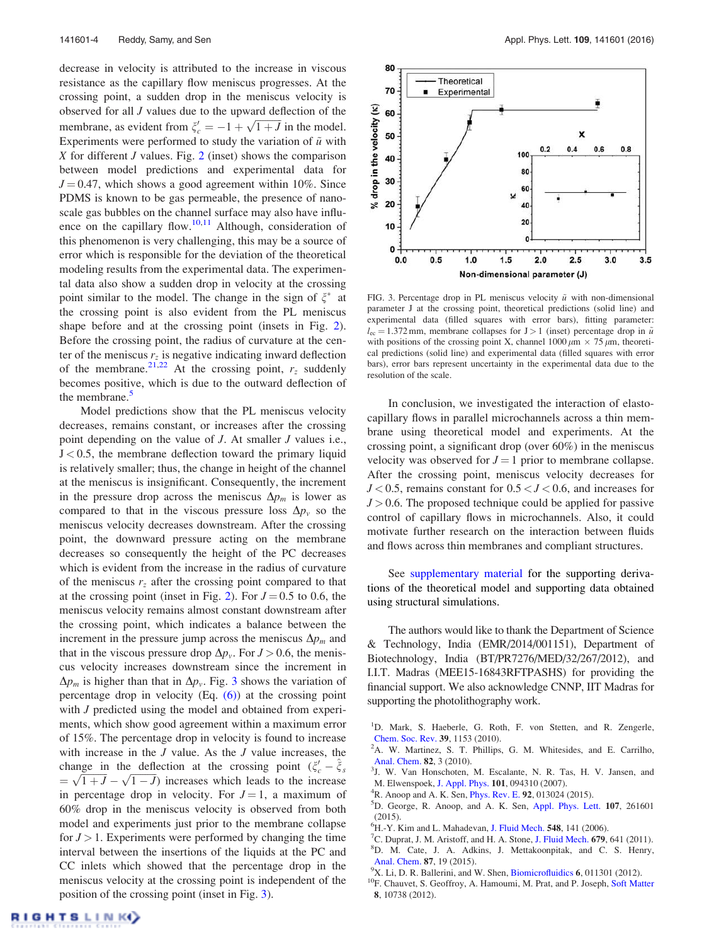decrease in velocity is attributed to the increase in viscous resistance as the capillary flow meniscus progresses. At the crossing point, a sudden drop in the meniscus velocity is observed for all J values due to the upward deflection of the membrane, as evident from  $\xi_c' = -1 + \sqrt{1 + J}$  in the model. Experiments were performed to study the variation of  $\tilde{u}$  with X for different  $J$  values. Fig. 2 (inset) shows the comparison between model predictions and experimental data for  $J = 0.47$ , which shows a good agreement within 10%. Since PDMS is known to be gas permeable, the presence of nanoscale gas bubbles on the channel surface may also have influence on the capillary flow.<sup>10,11</sup> Although, consideration of this phenomenon is very challenging, this may be a source of error which is responsible for the deviation of the theoretical modeling results from the experimental data. The experimental data also show a sudden drop in velocity at the crossing point similar to the model. The change in the sign of  $\xi^*$  at the crossing point is also evident from the PL meniscus shape before and at the crossing point (insets in Fig. 2). Before the crossing point, the radius of curvature at the center of the meniscus  $r<sub>z</sub>$  is negative indicating inward deflection of the membrane.<sup>21,22</sup> At the crossing point,  $r_z$  suddenly becomes positive, which is due to the outward deflection of the membrane.<sup>5</sup>

Model predictions show that the PL meniscus velocity decreases, remains constant, or increases after the crossing point depending on the value of J. At smaller J values i.e.,  $J < 0.5$ , the membrane deflection toward the primary liquid is relatively smaller; thus, the change in height of the channel at the meniscus is insignificant. Consequently, the increment in the pressure drop across the meniscus  $\Delta p_m$  is lower as compared to that in the viscous pressure loss  $\Delta p_{v}$  so the meniscus velocity decreases downstream. After the crossing point, the downward pressure acting on the membrane decreases so consequently the height of the PC decreases which is evident from the increase in the radius of curvature of the meniscus  $r<sub>z</sub>$  after the crossing point compared to that at the crossing point (inset in Fig. 2). For  $J = 0.5$  to 0.6, the meniscus velocity remains almost constant downstream after the crossing point, which indicates a balance between the increment in the pressure jump across the meniscus  $\Delta p_m$  and that in the viscous pressure drop  $\Delta p_{v}$ . For  $J > 0.6$ , the meniscus velocity increases downstream since the increment in  $\Delta p_m$  is higher than that in  $\Delta p_v$ . Fig. 3 shows the variation of percentage drop in velocity (Eq. (6)) at the crossing point with *J* predicted using the model and obtained from experiments, which show good agreement within a maximum error of 15%. The percentage drop in velocity is found to increase with increase in the  $J$  value. As the  $J$  value increases, the change in the deflection at the crossing point  $(\xi_c - \hat{\xi}_s)$  $= \sqrt{1 + J} - \sqrt{1 - J}$ ) increases which leads to the increase in percentage drop in velocity. For  $J = 1$ , a maximum of 60% drop in the meniscus velocity is observed from both model and experiments just prior to the membrane collapse for  $J > 1$ . Experiments were performed by changing the time interval between the insertions of the liquids at the PC and CC inlets which showed that the percentage drop in the meniscus velocity at the crossing point is independent of the position of the crossing point (inset in Fig. 3).



FIG. 3. Percentage drop in PL meniscus velocity  $\tilde{u}$  with non-dimensional parameter J at the crossing point, theoretical predictions (solid line) and experimental data (filled squares with error bars), fitting parameter:  $l_{\text{ec}} = 1.372 \text{ mm}$ , membrane collapses for J > 1 (inset) percentage drop in  $\tilde{u}$ with positions of the crossing point X, channel  $1000 \mu m \times 75 \mu m$ , theoretical predictions (solid line) and experimental data (filled squares with error bars), error bars represent uncertainty in the experimental data due to the resolution of the scale.

In conclusion, we investigated the interaction of elastocapillary flows in parallel microchannels across a thin membrane using theoretical model and experiments. At the crossing point, a significant drop (over 60%) in the meniscus velocity was observed for  $J = 1$  prior to membrane collapse. After the crossing point, meniscus velocity decreases for  $J < 0.5$ , remains constant for  $0.5 < J < 0.6$ , and increases for  $J > 0.6$ . The proposed technique could be applied for passive control of capillary flows in microchannels. Also, it could motivate further research on the interaction between fluids and flows across thin membranes and compliant structures.

See supplementary material for the supporting derivations of the theoretical model and supporting data obtained using structural simulations.

The authors would like to thank the Department of Science & Technology, India (EMR/2014/001151), Department of Biotechnology, India (BT/PR7276/MED/32/267/2012), and I.I.T. Madras (MEE15-16843RFTPASHS) for providing the financial support. We also acknowledge CNNP, IIT Madras for supporting the photolithography work.

- <sup>1</sup>D. Mark, S. Haeberle, G. Roth, F. von Stetten, and R. Zengerle, Chem. Soc. Rev. 39, 1153 (2010).
- <sup>2</sup>A. W. Martinez, S. T. Phillips, G. M. Whitesides, and E. Carrilho, Anal. Chem. 82, 3 (2010).
- 3 J. W. Van Honschoten, M. Escalante, N. R. Tas, H. V. Jansen, and M. Elwenspoek, J. Appl. Phys. 101, 094310 (2007).
- <sup>4</sup>R. Anoop and A. K. Sen, *Phys. Rev. E.* **92**, 013024 (2015).
- <sup>5</sup>D. George, R. Anoop, and A. K. Sen, Appl. Phys. Lett. 107, 261601  $(2015)$
- ${}^{6}$ H.-Y. Kim and L. Mahadevan, J. Fluid Mech. 548, 141 (2006).
- <sup>7</sup>C. Duprat, J. M. Aristoff, and H. A. Stone, J. Fluid Mech. 679, 641 (2011). <sup>8</sup>D. M. Cate, J. A. Adkins, J. Mettakoonpitak, and C. S. Henry, Anal. Chem. 87, 19 (2015).
- $^{9}$ X. Li, D. R. Ballerini, and W. Shen, Biomicrofluidics 6, 011301 (2012).
- <sup>10</sup>F. Chauvet, S. Geoffroy, A. Hamoumi, M. Prat, and P. Joseph, Soft Matter 8, 10738 (2012).